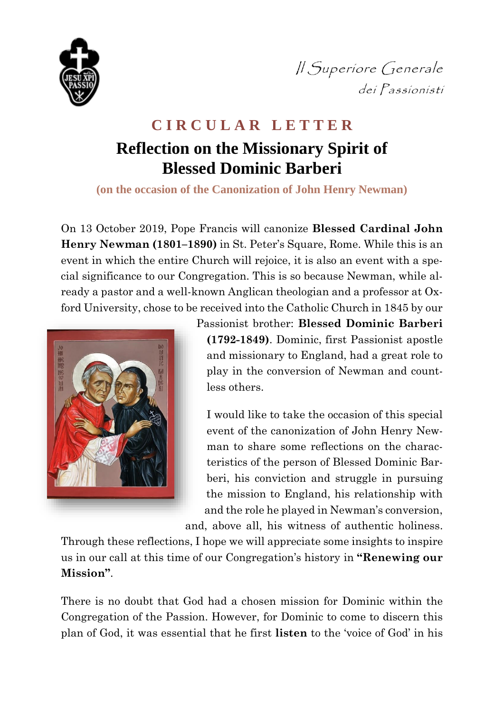

*|| Superiore Generale* dei Passionisti

## **C I R C U L A R L E T T E R Reflection on the Missionary Spirit of Blessed Dominic Barberi**

**(on the occasion of the Canonization of John Henry Newman)**

On 13 October 2019, Pope Francis will canonize **Blessed Cardinal John Henry Newman (1801–1890)** in St. Peter's Square, Rome. While this is an event in which the entire Church will rejoice, it is also an event with a special significance to our Congregation. This is so because Newman, while already a pastor and a well-known Anglican theologian and a professor at Oxford University, chose to be received into the Catholic Church in 1845 by our



Passionist brother: **Blessed Dominic Barberi (1792-1849)**. Dominic, first Passionist apostle and missionary to England, had a great role to play in the conversion of Newman and countless others.

I would like to take the occasion of this special event of the canonization of John Henry Newman to share some reflections on the characteristics of the person of Blessed Dominic Barberi, his conviction and struggle in pursuing the mission to England, his relationship with and the role he played in Newman's conversion,

and, above all, his witness of authentic holiness.

Through these reflections, I hope we will appreciate some insights to inspire us in our call at this time of our Congregation's history in **"Renewing our Mission"**.

There is no doubt that God had a chosen mission for Dominic within the Congregation of the Passion. However, for Dominic to come to discern this plan of God, it was essential that he first **listen** to the 'voice of God' in his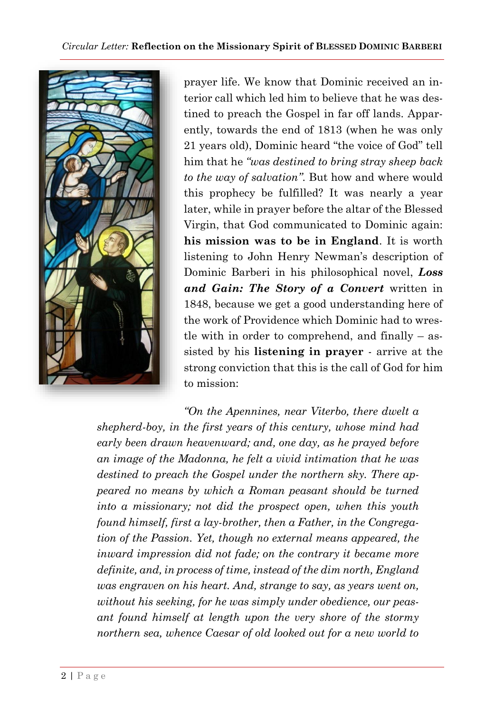

prayer life. We know that Dominic received an interior call which led him to believe that he was destined to preach the Gospel in far off lands. Apparently, towards the end of 1813 (when he was only 21 years old), Dominic heard "the voice of God" tell him that he *"was destined to bring stray sheep back to the way of salvation"*. But how and where would this prophecy be fulfilled? It was nearly a year later, while in prayer before the altar of the Blessed Virgin, that God communicated to Dominic again: **his mission was to be in England**. It is worth listening to John Henry Newman's description of Dominic Barberi in his philosophical novel, *Loss and Gain: The Story of a Convert* written in 1848, because we get a good understanding here of the work of Providence which Dominic had to wrestle with in order to comprehend, and finally  $-$  assisted by his **listening in prayer** - arrive at the strong conviction that this is the call of God for him to mission:

*"On the Apennines, near Viterbo, there dwelt a shepherd-boy, in the first years of this century, whose mind had early been drawn heavenward; and, one day, as he prayed before an image of the Madonna, he felt a vivid intimation that he was destined to preach the Gospel under the northern sky. There appeared no means by which a Roman peasant should be turned into a missionary; not did the prospect open, when this youth found himself, first a lay-brother, then a Father, in the Congregation of the Passion. Yet, though no external means appeared, the inward impression did not fade; on the contrary it became more definite, and, in process of time, instead of the dim north, England was engraven on his heart. And, strange to say, as years went on, without his seeking, for he was simply under obedience, our peasant found himself at length upon the very shore of the stormy northern sea, whence Caesar of old looked out for a new world to*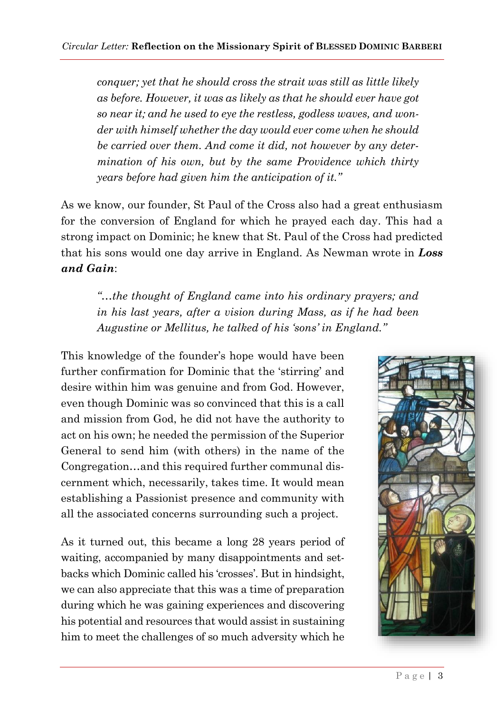*conquer; yet that he should cross the strait was still as little likely as before. However, it was as likely as that he should ever have got so near it; and he used to eye the restless, godless waves, and wonder with himself whether the day would ever come when he should be carried over them. And come it did, not however by any determination of his own, but by the same Providence which thirty years before had given him the anticipation of it."*

As we know, our founder, St Paul of the Cross also had a great enthusiasm for the conversion of England for which he prayed each day. This had a strong impact on Dominic; he knew that St. Paul of the Cross had predicted that his sons would one day arrive in England. As Newman wrote in *Loss and Gain*:

*"…the thought of England came into his ordinary prayers; and in his last years, after a vision during Mass, as if he had been Augustine or Mellitus, he talked of his 'sons' in England."*

This knowledge of the founder's hope would have been further confirmation for Dominic that the 'stirring' and desire within him was genuine and from God. However, even though Dominic was so convinced that this is a call and mission from God, he did not have the authority to act on his own; he needed the permission of the Superior General to send him (with others) in the name of the Congregation…and this required further communal discernment which, necessarily, takes time. It would mean establishing a Passionist presence and community with all the associated concerns surrounding such a project.

As it turned out, this became a long 28 years period of waiting, accompanied by many disappointments and setbacks which Dominic called his 'crosses'. But in hindsight, we can also appreciate that this was a time of preparation during which he was gaining experiences and discovering his potential and resources that would assist in sustaining him to meet the challenges of so much adversity which he

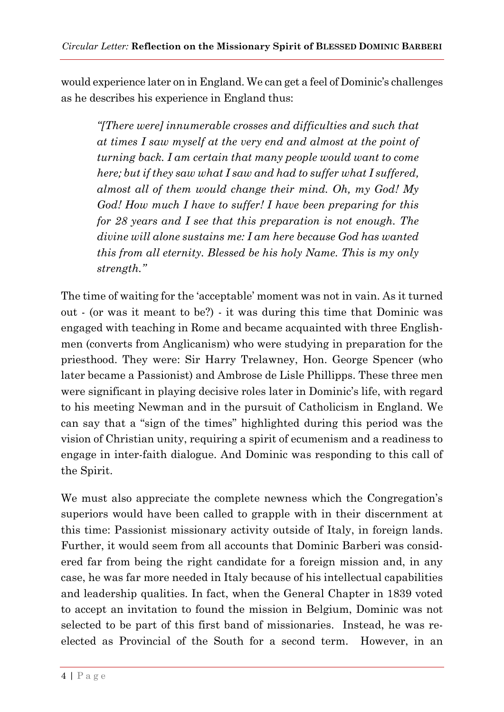would experience later on in England. We can get a feel of Dominic's challenges as he describes his experience in England thus:

*"[There were] innumerable crosses and difficulties and such that at times I saw myself at the very end and almost at the point of turning back. I am certain that many people would want to come here; but if they saw what I saw and had to suffer what I suffered, almost all of them would change their mind. Oh, my God! My God! How much I have to suffer! I have been preparing for this for 28 years and I see that this preparation is not enough. The divine will alone sustains me: I am here because God has wanted this from all eternity. Blessed be his holy Name. This is my only strength."*

The time of waiting for the 'acceptable' moment was not in vain. As it turned out - (or was it meant to be?) - it was during this time that Dominic was engaged with teaching in Rome and became acquainted with three Englishmen (converts from Anglicanism) who were studying in preparation for the priesthood. They were: Sir Harry Trelawney, Hon. George Spencer (who later became a Passionist) and Ambrose de Lisle Phillipps. These three men were significant in playing decisive roles later in Dominic's life, with regard to his meeting Newman and in the pursuit of Catholicism in England. We can say that a "sign of the times" highlighted during this period was the vision of Christian unity, requiring a spirit of ecumenism and a readiness to engage in inter-faith dialogue. And Dominic was responding to this call of the Spirit.

We must also appreciate the complete newness which the Congregation's superiors would have been called to grapple with in their discernment at this time: Passionist missionary activity outside of Italy, in foreign lands. Further, it would seem from all accounts that Dominic Barberi was considered far from being the right candidate for a foreign mission and, in any case, he was far more needed in Italy because of his intellectual capabilities and leadership qualities. In fact, when the General Chapter in 1839 voted to accept an invitation to found the mission in Belgium, Dominic was not selected to be part of this first band of missionaries. Instead, he was reelected as Provincial of the South for a second term. However, in an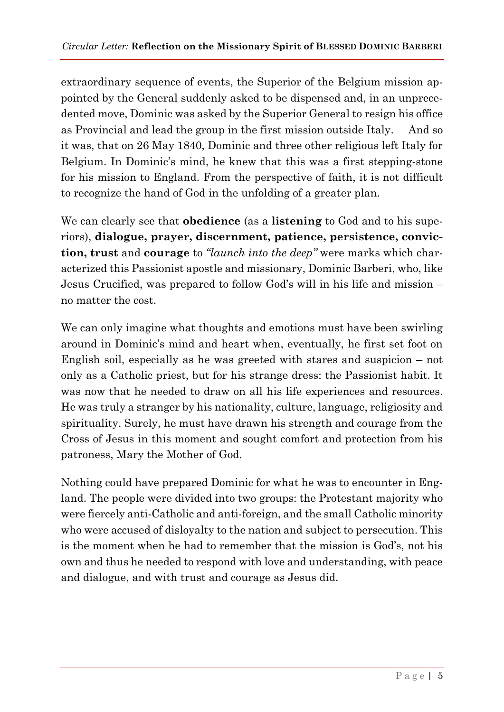extraordinary sequence of events, the Superior of the Belgium mission appointed by the General suddenly asked to be dispensed and, in an unprecedented move, Dominic was asked by the Superior General to resign his office as Provincial and lead the group in the first mission outside Italy. And so it was, that on 26 May 1840, Dominic and three other religious left Italy for Belgium. In Dominic's mind, he knew that this was a first stepping-stone for his mission to England. From the perspective of faith, it is not difficult to recognize the hand of God in the unfolding of a greater plan.

We can clearly see that **obedience** (as a **listening** to God and to his superiors), **dialogue, prayer, discernment, patience, persistence, conviction, trust** and **courage** to *"launch into the deep"* were marks which characterized this Passionist apostle and missionary, Dominic Barberi, who, like Jesus Crucified, was prepared to follow God's will in his life and mission – no matter the cost.

We can only imagine what thoughts and emotions must have been swirling around in Dominic's mind and heart when, eventually, he first set foot on English soil, especially as he was greeted with stares and suspicion – not only as a Catholic priest, but for his strange dress: the Passionist habit. It was now that he needed to draw on all his life experiences and resources. He was truly a stranger by his nationality, culture, language, religiosity and spirituality. Surely, he must have drawn his strength and courage from the Cross of Jesus in this moment and sought comfort and protection from his patroness, Mary the Mother of God.

Nothing could have prepared Dominic for what he was to encounter in England. The people were divided into two groups: the Protestant majority who were fiercely anti-Catholic and anti-foreign, and the small Catholic minority who were accused of disloyalty to the nation and subject to persecution. This is the moment when he had to remember that the mission is God's, not his own and thus he needed to respond with love and understanding, with peace and dialogue, and with trust and courage as Jesus did.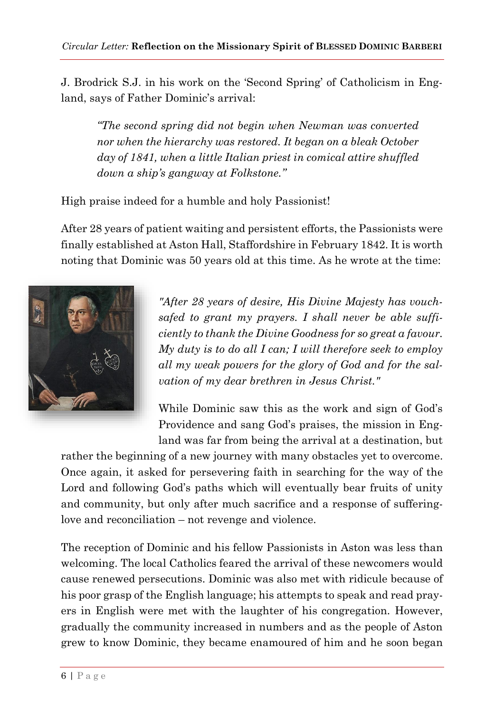J. Brodrick S.J. in his work on the 'Second Spring' of Catholicism in England, says of Father Dominic's arrival:

*"The second spring did not begin when Newman was converted nor when the hierarchy was restored. It began on a bleak October day of 1841, when a little Italian priest in comical attire shuffled down a ship's gangway at Folkstone."*

High praise indeed for a humble and holy Passionist!

After 28 years of patient waiting and persistent efforts, the Passionists were finally established at Aston Hall, Staffordshire in February 1842. It is worth noting that Dominic was 50 years old at this time. As he wrote at the time:



*"After 28 years of desire, His Divine Majesty has vouchsafed to grant my prayers. I shall never be able sufficiently to thank the Divine Goodness for so great a favour. My duty is to do all I can; I will therefore seek to employ all my weak powers for the glory of God and for the salvation of my dear brethren in Jesus Christ."*

While Dominic saw this as the work and sign of God's Providence and sang God's praises, the mission in England was far from being the arrival at a destination, but

rather the beginning of a new journey with many obstacles yet to overcome. Once again, it asked for persevering faith in searching for the way of the Lord and following God's paths which will eventually bear fruits of unity and community, but only after much sacrifice and a response of sufferinglove and reconciliation – not revenge and violence.

The reception of Dominic and his fellow Passionists in Aston was less than welcoming. The local Catholics feared the arrival of these newcomers would cause renewed persecutions. Dominic was also met with ridicule because of his poor grasp of the English language; his attempts to speak and read prayers in English were met with the laughter of his congregation. However, gradually the community increased in numbers and as the people of Aston grew to know Dominic, they became enamoured of him and he soon began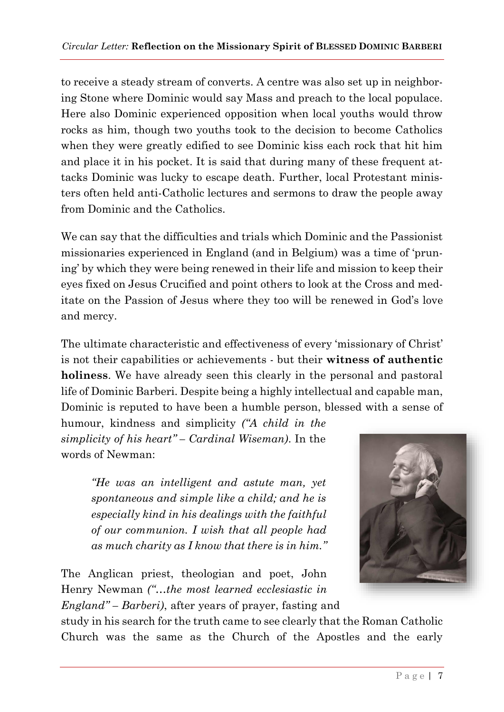to receive a steady stream of converts. A centre was also set up in neighboring Stone where Dominic would say Mass and preach to the local populace. Here also Dominic experienced opposition when local youths would throw rocks as him, though two youths took to the decision to become Catholics when they were greatly edified to see Dominic kiss each rock that hit him and place it in his pocket. It is said that during many of these frequent attacks Dominic was lucky to escape death. Further, local Protestant ministers often held anti-Catholic lectures and sermons to draw the people away from Dominic and the Catholics.

We can say that the difficulties and trials which Dominic and the Passionist missionaries experienced in England (and in Belgium) was a time of 'pruning' by which they were being renewed in their life and mission to keep their eyes fixed on Jesus Crucified and point others to look at the Cross and meditate on the Passion of Jesus where they too will be renewed in God's love and mercy.

The ultimate characteristic and effectiveness of every 'missionary of Christ' is not their capabilities or achievements - but their **witness of authentic holiness**. We have already seen this clearly in the personal and pastoral life of Dominic Barberi. Despite being a highly intellectual and capable man, Dominic is reputed to have been a humble person, blessed with a sense of

humour, kindness and simplicity *("A child in the simplicity of his heart" – Cardinal Wiseman)*. In the words of Newman:

> *"He was an intelligent and astute man, yet spontaneous and simple like a child; and he is especially kind in his dealings with the faithful of our communion. I wish that all people had as much charity as I know that there is in him."*

The Anglican priest, theologian and poet, John Henry Newman *("…the most learned ecclesiastic in England" – Barberi)*, after years of prayer, fasting and



study in his search for the truth came to see clearly that the Roman Catholic Church was the same as the Church of the Apostles and the early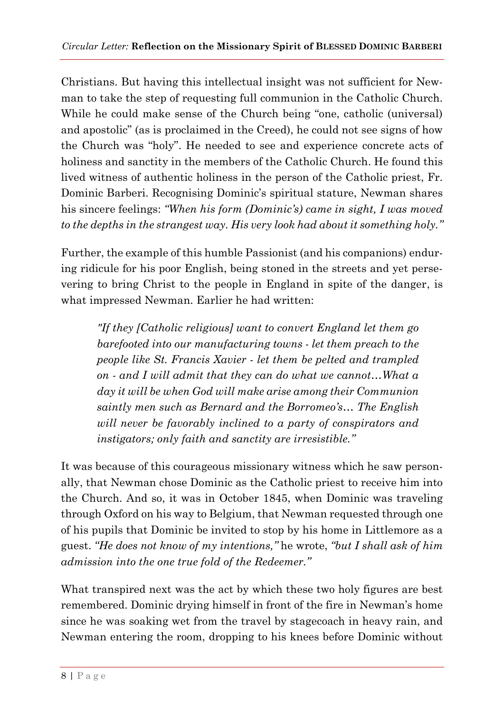Christians. But having this intellectual insight was not sufficient for Newman to take the step of requesting full communion in the Catholic Church. While he could make sense of the Church being "one, catholic (universal) and apostolic" (as is proclaimed in the Creed), he could not see signs of how the Church was "holy". He needed to see and experience concrete acts of holiness and sanctity in the members of the Catholic Church. He found this lived witness of authentic holiness in the person of the Catholic priest, Fr. Dominic Barberi. Recognising Dominic's spiritual stature, Newman shares his sincere feelings: *"When his form (Dominic's) came in sight, I was moved to the depths in the strangest way. His very look had about it something holy."*

Further, the example of this humble Passionist (and his companions) enduring ridicule for his poor English, being stoned in the streets and yet persevering to bring Christ to the people in England in spite of the danger, is what impressed Newman. Earlier he had written:

*"If they [Catholic religious] want to convert England let them go barefooted into our manufacturing towns - let them preach to the people like St. Francis Xavier - let them be pelted and trampled on - and I will admit that they can do what we cannot…What a day it will be when God will make arise among their Communion saintly men such as Bernard and the Borromeo's… The English will never be favorably inclined to a party of conspirators and instigators; only faith and sanctity are irresistible."*

It was because of this courageous missionary witness which he saw personally, that Newman chose Dominic as the Catholic priest to receive him into the Church. And so, it was in October 1845, when Dominic was traveling through Oxford on his way to Belgium, that Newman requested through one of his pupils that Dominic be invited to stop by his home in Littlemore as a guest. *"He does not know of my intentions,"* he wrote, *"but I shall ask of him admission into the one true fold of the Redeemer."*

What transpired next was the act by which these two holy figures are best remembered. Dominic drying himself in front of the fire in Newman's home since he was soaking wet from the travel by stagecoach in heavy rain, and Newman entering the room, dropping to his knees before Dominic without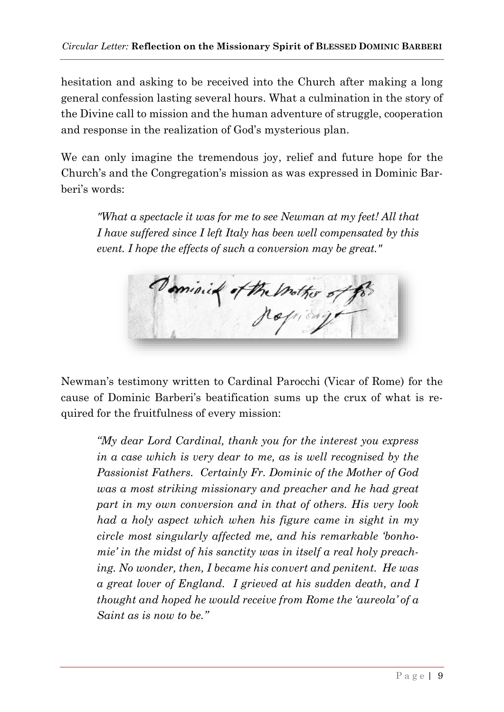hesitation and asking to be received into the Church after making a long general confession lasting several hours. What a culmination in the story of the Divine call to mission and the human adventure of struggle, cooperation and response in the realization of God's mysterious plan.

We can only imagine the tremendous joy, relief and future hope for the Church's and the Congregation's mission as was expressed in Dominic Barberi's words:

*"What a spectacle it was for me to see Newman at my feet! All that I have suffered since I left Italy has been well compensated by this event. I hope the effects of such a conversion may be great."*

minie of the mother of

Newman's testimony written to Cardinal Parocchi (Vicar of Rome) for the cause of Dominic Barberi's beatification sums up the crux of what is required for the fruitfulness of every mission:

*"My dear Lord Cardinal, thank you for the interest you express in a case which is very dear to me, as is well recognised by the Passionist Fathers. Certainly Fr. Dominic of the Mother of God was a most striking missionary and preacher and he had great part in my own conversion and in that of others. His very look had a holy aspect which when his figure came in sight in my circle most singularly affected me, and his remarkable 'bonhomie' in the midst of his sanctity was in itself a real holy preaching. No wonder, then, I became his convert and penitent. He was a great lover of England. I grieved at his sudden death, and I thought and hoped he would receive from Rome the 'aureola' of a Saint as is now to be."*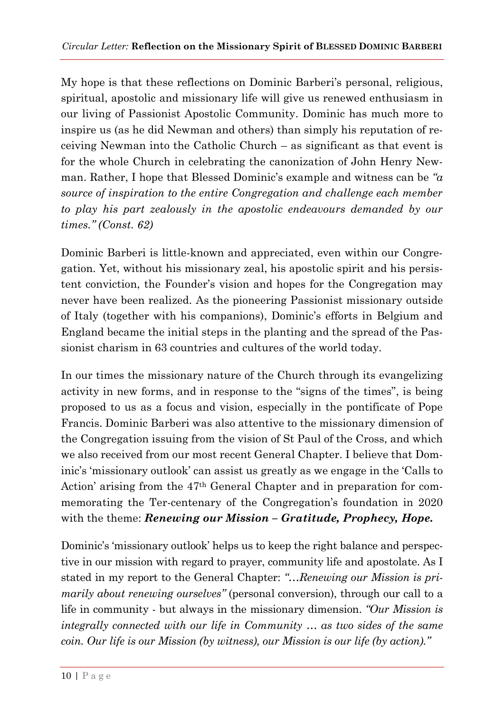My hope is that these reflections on Dominic Barberi's personal, religious, spiritual, apostolic and missionary life will give us renewed enthusiasm in our living of Passionist Apostolic Community. Dominic has much more to inspire us (as he did Newman and others) than simply his reputation of receiving Newman into the Catholic Church – as significant as that event is for the whole Church in celebrating the canonization of John Henry Newman. Rather, I hope that Blessed Dominic's example and witness can be *"a source of inspiration to the entire Congregation and challenge each member to play his part zealously in the apostolic endeavours demanded by our times." (Const. 62)*

Dominic Barberi is little-known and appreciated, even within our Congregation. Yet, without his missionary zeal, his apostolic spirit and his persistent conviction, the Founder's vision and hopes for the Congregation may never have been realized. As the pioneering Passionist missionary outside of Italy (together with his companions), Dominic's efforts in Belgium and England became the initial steps in the planting and the spread of the Passionist charism in 63 countries and cultures of the world today.

In our times the missionary nature of the Church through its evangelizing activity in new forms, and in response to the "signs of the times", is being proposed to us as a focus and vision, especially in the pontificate of Pope Francis. Dominic Barberi was also attentive to the missionary dimension of the Congregation issuing from the vision of St Paul of the Cross, and which we also received from our most recent General Chapter. I believe that Dominic's 'missionary outlook' can assist us greatly as we engage in the 'Calls to Action' arising from the 47th General Chapter and in preparation for commemorating the Ter-centenary of the Congregation's foundation in 2020 with the theme: *Renewing our Mission – Gratitude, Prophecy, Hope.*

Dominic's 'missionary outlook' helps us to keep the right balance and perspective in our mission with regard to prayer, community life and apostolate. As I stated in my report to the General Chapter: *"…Renewing our Mission is primarily about renewing ourselves*" (personal conversion), through our call to a life in community - but always in the missionary dimension. *"Our Mission is integrally connected with our life in Community … as two sides of the same coin. Our life is our Mission (by witness), our Mission is our life (by action)."*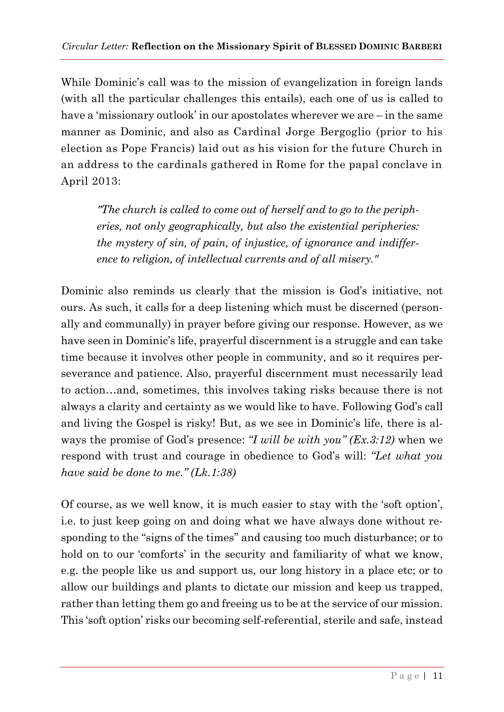While Dominic's call was to the mission of evangelization in foreign lands (with all the particular challenges this entails), each one of us is called to have a 'missionary outlook' in our apostolates wherever we are – in the same manner as Dominic, and also as Cardinal Jorge Bergoglio (prior to his election as Pope Francis) laid out as his vision for the future Church in an address to the cardinals gathered in Rome for the papal conclave in April 2013:

*"The church is called to come out of herself and to go to the peripheries, not only geographically, but also the existential peripheries: the mystery of sin, of pain, of injustice, of ignorance and indifference to religion, of intellectual currents and of all misery."*

Dominic also reminds us clearly that the mission is God's initiative, not ours. As such, it calls for a deep listening which must be discerned (personally and communally) in prayer before giving our response. However, as we have seen in Dominic's life, prayerful discernment is a struggle and can take time because it involves other people in community, and so it requires perseverance and patience. Also, prayerful discernment must necessarily lead to action…and, sometimes, this involves taking risks because there is not always a clarity and certainty as we would like to have. Following God's call and living the Gospel is risky! But, as we see in Dominic's life, there is always the promise of God's presence: *"I will be with you" (Ex.3:12)* when we respond with trust and courage in obedience to God's will: *"Let what you have said be done to me." (Lk.1:38)*

Of course, as we well know, it is much easier to stay with the 'soft option', i.e. to just keep going on and doing what we have always done without responding to the "signs of the times" and causing too much disturbance; or to hold on to our 'comforts' in the security and familiarity of what we know, e.g. the people like us and support us, our long history in a place etc; or to allow our buildings and plants to dictate our mission and keep us trapped, rather than letting them go and freeing us to be at the service of our mission. This 'soft option' risks our becoming self-referential, sterile and safe, instead